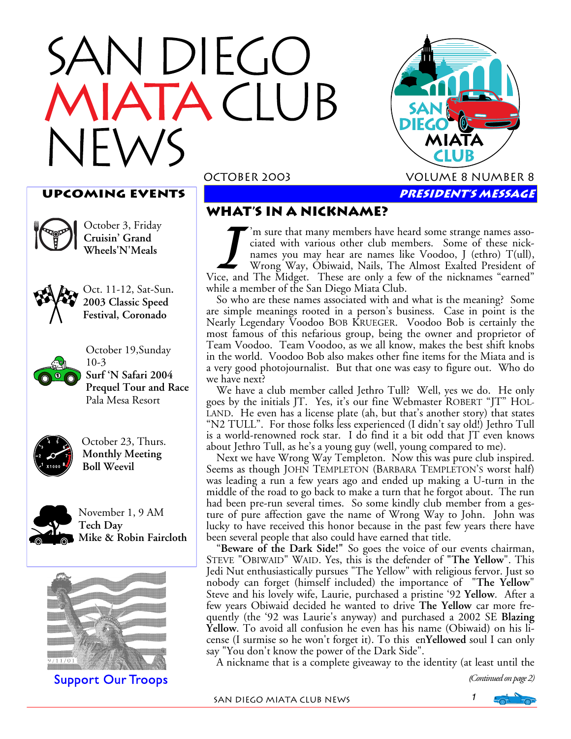# DIEGO  $\bigcap$  UB  $\blacksquare$



#### **UPCOMING EVENTS**



October 3, Friday **Cruisin' Grand Wheels'N'Meals**



Oct. 11-12, Sat-Sun**. 2003 Classic Speed Festival, Coronado** 



October 19,Sunday 10-3 **Surf 'N Safari 2004 Prequel Tour and Race**  Pala Mesa Resort



 October 23, Thurs.  **Monthly Meeting Boll Weevil** 



November 1, 9 AM **Tech Day Mike & Robin Faircloth** 



Support Our Troops

#### **What's in a nickname?**

I'm sure that many members have heard some strange names asso-<br>
ciated with various other club members. Some of these nick-<br>
names you may hear are names like Voodoo, J (ethro) T(ull),<br>
Wrong Way, Obiwaid, Nails, The Almos ciated with various other club members. Some of these nicknames you may hear are names like Voodoo, J (ethro) T(ull), Wrong Way, Obiwaid, Nails, The Almost Exalted President of while a member of the San Diego Miata Club.

So who are these names associated with and what is the meaning? Some are simple meanings rooted in a person's business. Case in point is the Nearly Legendary Voodoo BOB KRUEGER. Voodoo Bob is certainly the most famous of this nefarious group, being the owner and proprietor of Team Voodoo. Team Voodoo, as we all know, makes the best shift knobs in the world. Voodoo Bob also makes other fine items for the Miata and is a very good photojournalist. But that one was easy to figure out. Who do we have next?

We have a club member called Jethro Tull? Well, yes we do. He only goes by the initials JT. Yes, it's our fine Webmaster ROBERT "JT" HOL-LAND. He even has a license plate (ah, but that's another story) that states "N2 TULL". For those folks less experienced (I didn't say old!) Jethro Tull is a world-renowned rock star. I do find it a bit odd that JT even knows about Jethro Tull, as he's a young guy (well, young compared to me).

Next we have Wrong Way Templeton. Now this was pure club inspired. Seems as though JOHN TEMPLETON (BARBARA TEMPLETON'S worst half) was leading a run a few years ago and ended up making a U-turn in the middle of the road to go back to make a turn that he forgot about. The run had been pre-run several times. So some kindly club member from a gesture of pure affection gave the name of Wrong Way to John. John was lucky to have received this honor because in the past few years there have been several people that also could have earned that title.

"**Beware of the Dark Side!"** So goes the voice of our events chairman, STEVE "OBIWAID" WAID. Yes, this is the defender of **"The Yellow**". This Jedi Nut enthusiastically pursues "The Yellow" with religious fervor. Just so nobody can forget (himself included) the importance of "**The Yellow**" Steve and his lovely wife, Laurie, purchased a pristine '92 **Yellow**. After a few years Obiwaid decided he wanted to drive **The Yellow** car more frequently (the '92 was Laurie's anyway) and purchased a 2002 SE **Blazing Yellow**. To avoid all confusion he even has his name (Obiwaid) on his license (I surmise so he won't forget it). To this en**Yellowed** soul I can only say "You don't know the power of the Dark Side".

A nickname that is a complete giveaway to the identity (at least until the

(*Continued on page 2)* 

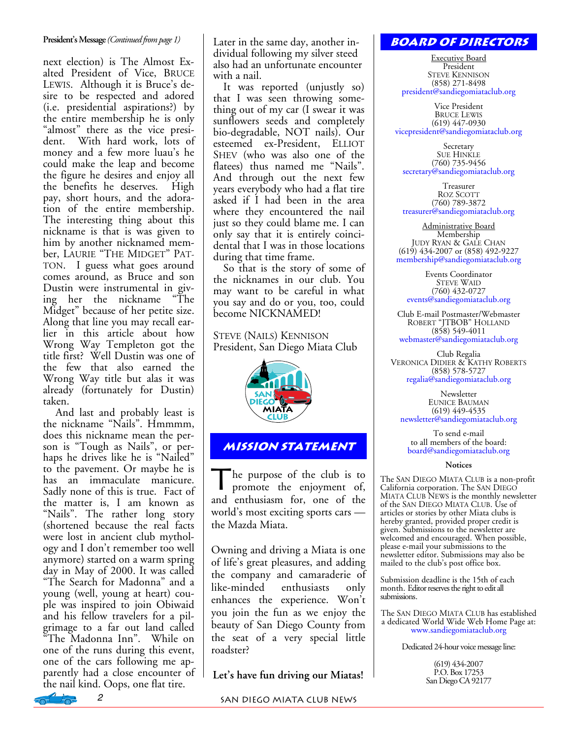#### **President's Message** *(Continued from page 1)*

next election) is The Almost Exalted President of Vice, BRUCE LEWIS. Although it is Bruce's desire to be respected and adored (i.e. presidential aspirations?) by the entire membership he is only "almost" there as the vice president. With hard work, lots of money and a few more luau's he could make the leap and become the figure he desires and enjoy all the benefits he deserves. High pay, short hours, and the adoration of the entire membership. The interesting thing about this nickname is that is was given to him by another nicknamed member, LAURIE "THE MIDGET" PAT-TON. I guess what goes around comes around, as Bruce and son Dustin were instrumental in giv-<br>ing her the nickname "The ing her the nickname Midget" because of her petite size. Along that line you may recall earlier in this article about how Wrong Way Templeton got the title first? Well Dustin was one of the few that also earned the Wrong Way title but alas it was already (fortunately for Dustin) taken.

 And last and probably least is the nickname "Nails". Hmmmm, does this nickname mean the person is "Tough as Nails", or perhaps he drives like he is "Nailed" to the pavement. Or maybe he is has an immaculate manicure. Sadly none of this is true. Fact of the matter is, I am known as "Nails". The rather long story (shortened because the real facts were lost in ancient club mythology and I don't remember too well anymore) started on a warm spring day in May of 2000. It was called "The Search for Madonna" and a young (well, young at heart) couple was inspired to join Obiwaid and his fellow travelers for a pilgrimage to a far out land called The Madonna Inn". While on one of the runs during this event, one of the cars following me apparently had a close encounter of the nail kind. Oops, one flat tire.

Later in the same day, another individual following my silver steed also had an unfortunate encounter with a nail.

It was reported (unjustly so) that I was seen throwing something out of my car (I swear it was sunflowers seeds and completely bio-degradable, NOT nails). Our esteemed ex-President, ELLIOT SHEV (who was also one of the flatees) thus named me "Nails". And through out the next few years everybody who had a flat tire asked if I had been in the area where they encountered the nail just so they could blame me. I can only say that it is entirely coincidental that I was in those locations during that time frame.

So that is the story of some of the nicknames in our club. You may want to be careful in what you say and do or you, too, could become NICKNAMED!

STEVE (NAILS) KENNISON President, San Diego Miata Club



#### **Mission statement**

The purpose of the club is to promote the enjoyment of, and enthusiasm for, one of the world's most exciting sports cars the Mazda Miata.

Owning and driving a Miata is one of life's great pleasures, and adding the company and camaraderie of like-minded enthusiasts only enhances the experience. Won't you join the fun as we enjoy the beauty of San Diego County from the seat of a very special little roadster?

**Let's have fun driving our Miatas!** 

#### **Board of Directors**

Executive Board President STEVE KENNISON (858) 271-8498 president@sandiegomiataclub.org

Vice President BRUCE LEWIS (619) 447-0930 vicepresident@sandiegomiataclub.org

Secretary SUE HINKLE (760) 735-9456 secretary@sandiegomiataclub.org

Treasurer ROZ SCOTT (760) 789-3872 treasurer@sandiegomiataclub.org

Administrative Board Membership JUDY RYAN & GALE CHAN (619) 434-2007 or (858) 492-9227 membership@sandiegomiataclub.org

Events Coordinator STEVE WAID (760) 432-0727 events@sandiegomiataclub.org

Club E-mail Postmaster/Webmaster ROBERT "JTBOB" HOLLAND (858) 549-4011 webmaster@sandiegomiataclub.org

Club Regalia VERONICA DIDIER & KATHY ROBERTS (858) 578-5727 regalia@sandiegomiataclub.org

Newsletter EUNICE BAUMAN (619) 449-4535 newsletter@sandiegomiataclub.org

To send e-mail to all members of the board: board@sandiegomiataclub.org

#### **Notices**

The SAN DIEGO MIATA CLUB is a non-profit California corporation. The SAN DIEGO MIATA CLUB NEWS is the monthly newsletter of the SAN DIEGO MIATA CLUB. Use of articles or stories by other Miata clubs is hereby granted, provided proper credit is given. Submissions to the newsletter are welcomed and encouraged. When possible, please e-mail your submissions to the newsletter editor. Submissions may also be mailed to the club's post office box.

Submission deadline is the 15th of each month. Editor reserves the right to edit all submissions.

The SAN DIEGO MIATA CLUB has established a dedicated World Wide Web Home Page at: www.sandiegomiataclub.org

Dedicated 24-hour voice message line:

(619) 434-2007 P.O. Box 17253 San Diego CA 92177

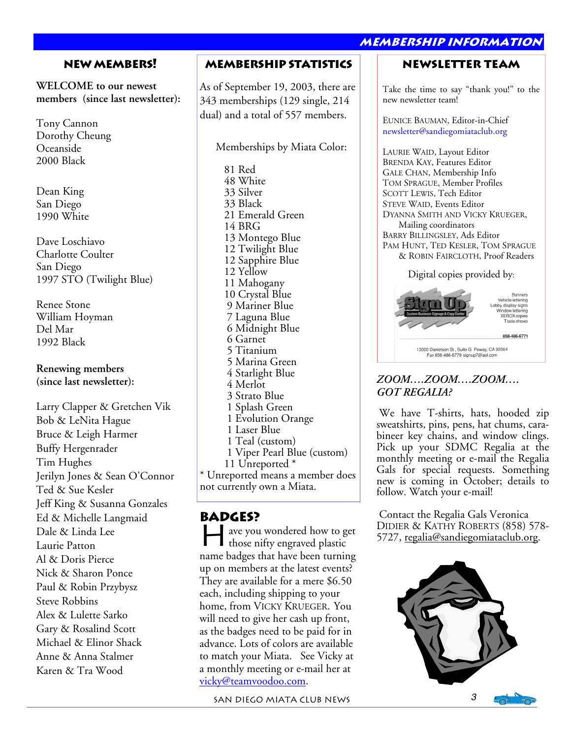#### **New Members!**

**WELCOME to our newest members (since last newsletter):** 

Tony Cannon Dorothy Cheung Oceanside 2000 Black

Dean King San Diego 1990 White

Dave Loschiavo Charlotte Coulter San Diego 1997 STO (Twilight Blue)

Renee Stone William Hoyman Del Mar 1992 Black

**Renewing members (since last newsletter):** 

Larry Clapper & Gretchen Vik Bob & LeNita Hague Bruce & Leigh Harmer Buffy Hergenrader Tim Hughes Jerilyn Jones & Sean O'Connor Ted & Sue Kesler Jeff King & Susanna Gonzales Ed & Michelle Langmaid Dale & Linda Lee Laurie Patton Al & Doris Pierce Nick & Sharon Ponce Paul & Robin Przybysz Steve Robbins Alex & Lulette Sarko Gary & Rosalind Scott Michael & Elinor Shack Anne & Anna Stalmer Karen & Tra Wood

#### **Membership Statistics**

As of September 19, 2003, there are 343 memberships (129 single, 214 dual) and a total of 557 members.

Memberships by Miata Color:

 81 Red 48 White 33 Silver 33 Black 21 Emerald Green 14 BRG 13 Montego Blue 12 Twilight Blue 12 Sapphire Blue 12 Yellow 11 Mahogany 10 Crystal Blue 9 Mariner Blue 7 Laguna Blue 6 Midnight Blue 6 Garnet 5 Titanium 5 Marina Green 4 Starlight Blue 4 Merlot 3 Strato Blue 1 Splash Green 1 Evolution Orange 1 Laser Blue 1 Teal (custom) 1 Viper Pearl Blue (custom) 11 Unreported \* \* Unreported means a member does

not currently own a Miata.

#### **Badges?**

ave you wondered how to get those nifty engraved plastic name badges that have been turning up on members at the latest events? They are available for a mere \$6.50 each, including shipping to your home, from VICKY KRUEGER. You will need to give her cash up front, as the badges need to be paid for in advance. Lots of colors are available to match your Miata. See Vicky at a monthly meeting or e-mail her at vicky@teamvoodoo.com.

SAN DIEGO MIATA CLUB NEWS 3

#### **membership information**

#### **Newsletter Team**

Take the time to say "thank you!" to the new newsletter team!

EUNICE BAUMAN, Editor-in-Chief newsletter@sandiegomiataclub.org

LAURIE WAID, Layout Editor BRENDA KAY, Features Editor GALE CHAN, Membership Info TOM SPRAGUE, Member Profiles SCOTT LEWIS, Tech Editor STEVE WAID, Events Editor DYANNA SMITH AND VICKY KRUEGER, Mailing coordinators BARRY BILLINGSLEY, Ads Editor PAM HUNT, TED KESLER, TOM SPRAGUE & ROBIN FAIRCLOTH, Proof Readers

Digital copies provided by:



#### *ZOOM….ZOOM….ZOOM…. GOT REGALIA?*

 We have T-shirts, hats, hooded zip sweatshirts, pins, pens, hat chums, carabineer key chains, and window clings. Pick up your SDMC Regalia at the monthly meeting or e-mail the Regalia Gals for special requests. Something new is coming in October; details to follow. Watch your e-mail!

 Contact the Regalia Gals Veronica DIDIER & KATHY ROBERTS (858) 578- 5727, regalia@sandiegomiataclub.org.

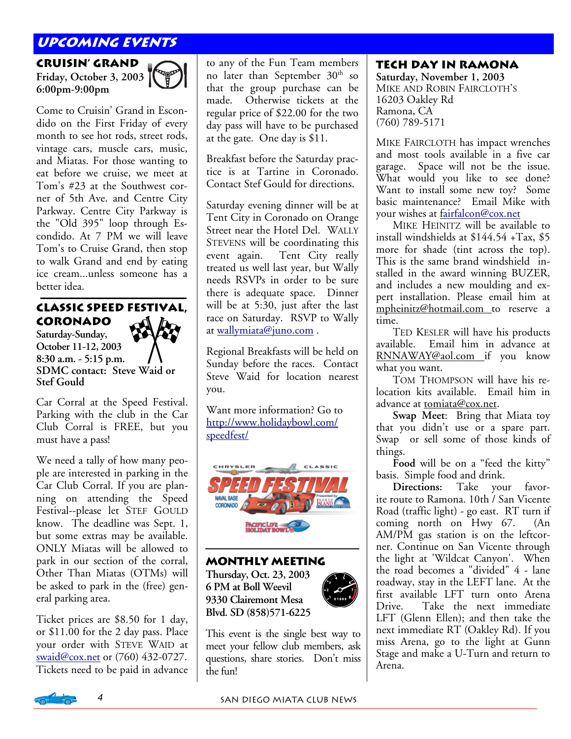### **Upcoming Events**

**Cruisin' Grand Friday, October 3, 2003 6:00pm-9:00pm** 



Come to Cruisin' Grand in Escondido on the First Friday of every month to see hot rods, street rods, vintage cars, muscle cars, music, and Miatas. For those wanting to eat before we cruise, we meet at Tom's #23 at the Southwest corner of 5th Ave. and Centre City Parkway. Centre City Parkway is the "Old 395" loop through Escondido. At 7 PM we will leave Tom's to Cruise Grand, then stop to walk Grand and end by eating ice cream...unless someone has a better idea.

### **Classic Speed Festival, Coronado**

**Saturday-Sunday, October 11-12, 2003 8:30 a.m. - 5:15 p.m. SDMC contact: Steve Waid or Stef Gould** 

Car Corral at the Speed Festival. Parking with the club in the Car Club Corral is FREE, but you must have a pass!

We need a tally of how many people are interested in parking in the Car Club Corral. If you are planning on attending the Speed Festival--please let STEF GOULD know. The deadline was Sept. 1, but some extras may be available. ONLY Miatas will be allowed to park in our section of the corral, Other Than Miatas (OTMs) will be asked to park in the (free) general parking area.

Ticket prices are \$8.50 for 1 day, or \$11.00 for the 2 day pass. Place your order with STEVE WAID at swaid@cox.net or (760) 432-0727. Tickets need to be paid in advance

to any of the Fun Team members no later than September 30<sup>th</sup> so that the group purchase can be made. Otherwise tickets at the regular price of \$22.00 for the two day pass will have to be purchased at the gate. One day is \$11.

Breakfast before the Saturday practice is at Tartine in Coronado. Contact Stef Gould for directions.

Saturday evening dinner will be at Tent City in Coronado on Orange Street near the Hotel Del. WALLY STEVENS will be coordinating this event again. Tent City really treated us well last year, but Wally needs RSVPs in order to be sure there is adequate space. Dinner will be at 5:30, just after the last race on Saturday. RSVP to Wally at wallymiata@juno.com .

Regional Breakfasts will be held on Sunday before the races. Contact Steve Waid for location nearest you.

Want more information? Go to http://www.holidaybowl.com/ speedfest/



**Monthly Meeting Thursday, Oct. 23, 2003 6 PM at Boll Weevil** 

**9330 Clairemont Mesa Blvd. SD (858)571-6225** 



This event is the single best way to meet your fellow club members, ask questions, share stories. Don't miss the fun!

#### **Tech Day in Ramona**

**Saturday, November 1, 2003**  MIKE AND ROBIN FAIRCLOTH'S 16203 Oakley Rd Ramona, CA (760) 789-5171

MIKE FAIRCLOTH has impact wrenches and most tools available in a five car garage. Space will not be the issue. What would you like to see done? Want to install some new toy? Some basic maintenance? Email Mike with your wishes at fairfalcon@cox.net

 MIKE HEINITZ will be available to install windshields at \$144.54 +Tax, \$5 more for shade (tint across the top). This is the same brand windshield installed in the award winning BUZER, and includes a new moulding and expert installation. Please email him at mpheinitz@hotmail.com to reserve a time.

 TED KESLER will have his products available. Email him in advance at RNNAWAY@aol.com if you know what you want.

 TOM THOMPSON will have his relocation kits available. Email him in advance at tomiata@cox.net.

**Swap Meet**: Bring that Miata toy that you didn't use or a spare part. Swap or sell some of those kinds of things.

**Food** will be on a "feed the kitty" basis. Simple food and drink.

**Directions:** Take your favorite route to Ramona. 10th / San Vicente Road (traffic light) - go east. RT turn if coming north on Hwy 67. (An AM/PM gas station is on the leftcorner. Continue on San Vicente through the light at 'Wildcat Canyon'. When the road becomes a "divided" 4 - lane roadway, stay in the LEFT lane. At the first available LFT turn onto Arena Drive. Take the next immediate LFT (Glenn Ellen); and then take the next immediate RT (Oakley Rd). If you miss Arena, go to the light at Gunn Stage and make a U-Turn and return to Arena.

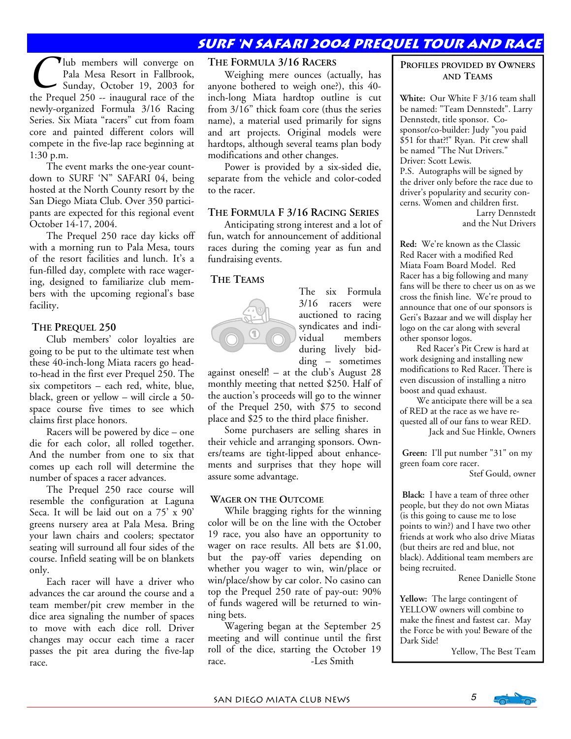### **Surf 'n safari 2004 prequel tour and race**

**Thub** members will converge on Pala Mesa Resort in Fallbrook, Sunday, October 19, 2003 for the Prequel 250 -- inaugural race of the newly-organized Formula 3/16 Racing Series. Six Miata "racers" cut from foam core and painted different colors will compete in the five-lap race beginning at 1:30 p.m.

 The event marks the one-year countdown to SURF 'N" SAFARI 04, being hosted at the North County resort by the San Diego Miata Club. Over 350 participants are expected for this regional event October 14-17, 2004.

 The Prequel 250 race day kicks off with a morning run to Pala Mesa, tours of the resort facilities and lunch. It's a fun-filled day, complete with race wagering, designed to familiarize club members with the upcoming regional's base facility.

#### **THE PREQUEL 250**

Club members' color loyalties are going to be put to the ultimate test when these 40-inch-long Miata racers go headto-head in the first ever Prequel 250. The six competitors – each red, white, blue, black, green or yellow – will circle a 50 space course five times to see which claims first place honors.

 Racers will be powered by dice – one die for each color, all rolled together. And the number from one to six that comes up each roll will determine the number of spaces a racer advances.

 The Prequel 250 race course will resemble the configuration at Laguna Seca. It will be laid out on a 75' x 90' greens nursery area at Pala Mesa. Bring your lawn chairs and coolers; spectator seating will surround all four sides of the course. Infield seating will be on blankets only.

 Each racer will have a driver who advances the car around the course and a team member/pit crew member in the dice area signaling the number of spaces to move with each dice roll. Driver changes may occur each time a racer passes the pit area during the five-lap race.

#### **THE FORMULA 3/16 RACERS**

 Weighing mere ounces (actually, has anyone bothered to weigh one?), this 40 inch-long Miata hardtop outline is cut from 3/16" thick foam core (thus the series name), a material used primarily for signs and art projects. Original models were hardtops, although several teams plan body modifications and other changes.

Power is provided by a six-sided die, separate from the vehicle and color-coded to the racer.

#### **THE FORMULA F 3/16 RACING SERIES**

 Anticipating strong interest and a lot of fun, watch for announcement of additional races during the coming year as fun and fundraising events.

#### **THE TEAMS**

The six Formula 3/16 racers were auctioned to racing syndicates and individual members during lively bidding – sometimes

against oneself! – at the club's August 28 monthly meeting that netted \$250. Half of the auction's proceeds will go to the winner of the Prequel 250, with \$75 to second place and  $\$25$  to the third place finisher.

 Some purchasers are selling shares in their vehicle and arranging sponsors. Owners/teams are tight-lipped about enhancements and surprises that they hope will assure some advantage.

#### **WAGER ON THE OUTCOME**

 While bragging rights for the winning color will be on the line with the October 19 race, you also have an opportunity to wager on race results. All bets are \$1.00, but the pay-off varies depending on whether you wager to win, win/place or win/place/show by car color. No casino can top the Prequel 250 rate of pay-out: 90% of funds wagered will be returned to winning bets.

 Wagering began at the September 25 meeting and will continue until the first roll of the dice, starting the October 19 race. - Les Smith

#### **PROFILES PROVIDED BY OWNERS AND TEAMS**

**White:** Our White F 3/16 team shall be named: "Team Dennstedt". Larry Dennstedt, title sponsor. Cosponsor/co-builder: Judy "you paid \$51 for that?!" Ryan. Pit crew shall be named "The Nut Drivers." Driver: Scott Lewis.

P.S. Autographs will be signed by the driver only before the race due to driver's popularity and security concerns. Women and children first. Larry Dennstedt

and the Nut Drivers

**Red:** We're known as the Classic Red Racer with a modified Red Miata Foam Board Model. Red Racer has a big following and many fans will be there to cheer us on as we cross the finish line. We're proud to announce that one of our sponsors is Geri's Bazaar and we will display her logo on the car along with several other sponsor logos.

Red Racer's Pit Crew is hard at work designing and installing new modifications to Red Racer. There is even discussion of installing a nitro boost and quad exhaust.

We anticipate there will be a sea of RED at the race as we have requested all of our fans to wear RED. Jack and Sue Hinkle, Owners

**Green:** I'll put number "31" on my green foam core racer.

Stef Gould, owner

**Black:** I have a team of three other people, but they do not own Miatas (is this going to cause me to lose points to win?) and I have two other friends at work who also drive Miatas (but theirs are red and blue, not black). Additional team members are being recruited.

Renee Danielle Stone

**Yellow:** The large contingent of YELLOW owners will combine to make the finest and fastest car. May the Force be with you! Beware of the Dark Side!

Yellow, The Best Team

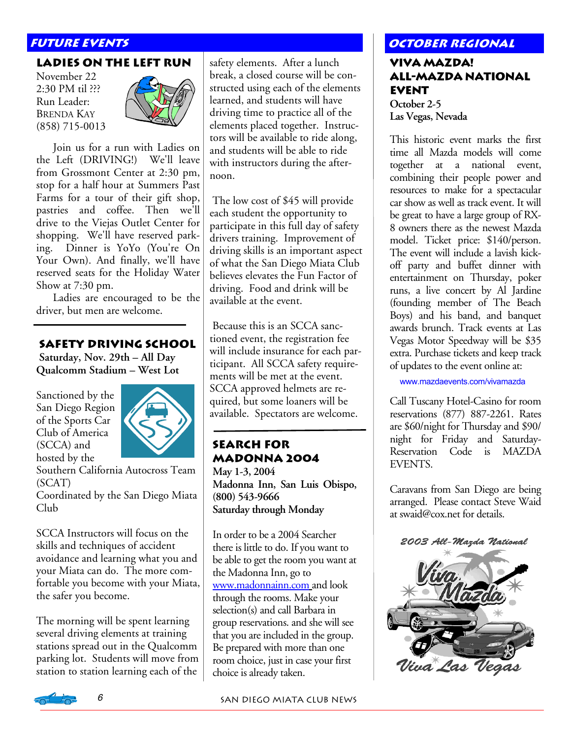#### **LADIES ON THE LEFT RUN**

November 22 2:30 PM til ??? Run Leader: BRENDA KAY (858) 715-0013



 Join us for a run with Ladies on the Left (DRIVING!) We'll leave from Grossmont Center at 2:30 pm, stop for a half hour at Summers Past Farms for a tour of their gift shop, pastries and coffee. Then we'll drive to the Viejas Outlet Center for shopping. We'll have reserved parking. Dinner is YoYo (You're On Your Own). And finally, we'll have reserved seats for the Holiday Water Show at 7:30 pm.

 Ladies are encouraged to be the driver, but men are welcome.

#### **Safety Driving School**

 **Saturday, Nov. 29th – All Day Qualcomm Stadium – West Lot** 

Sanctioned by the San Diego Region of the Sports Car Club of America (SCCA) and hosted by the



Southern California Autocross Team (SCAT) Coordinated by the San Diego Miata Club

SCCA Instructors will focus on the skills and techniques of accident avoidance and learning what you and your Miata can do. The more comfortable you become with your Miata, the safer you become.

The morning will be spent learning several driving elements at training stations spread out in the Qualcomm parking lot. Students will move from station to station learning each of the

safety elements. After a lunch break, a closed course will be constructed using each of the elements learned, and students will have driving time to practice all of the elements placed together. Instructors will be available to ride along, and students will be able to ride with instructors during the afternoon.

 The low cost of \$45 will provide each student the opportunity to participate in this full day of safety drivers training. Improvement of driving skills is an important aspect of what the San Diego Miata Club believes elevates the Fun Factor of driving. Food and drink will be available at the event.

 Because this is an SCCA sanctioned event, the registration fee will include insurance for each participant. All SCCA safety requirements will be met at the event. SCCA approved helmets are required, but some loaners will be available. Spectators are welcome.

### **Search for Madonna 2004**

**May 1-3, 2004 Madonna Inn, San Luis Obispo, (800) 543-9666 Saturday through Monday** 

In order to be a 2004 Searcher there is little to do. If you want to be able to get the room you want at the Madonna Inn, go to www.madonnainn.com and look through the rooms. Make your selection(s) and call Barbara in group reservations. and she will see that you are included in the group. Be prepared with more than one room choice, just in case your first choice is already taken.

### **FUTURE EVENTS AND REGIONAL REGIONAL REGIONAL REGIONAL REGIONAL REGIONAL REGIONAL REGIONAL REGIONAL REGIONAL REGION**

#### **Viva Mazda! All-Mazda National Event October 2-5 Las Vegas, Nevada**

This historic event marks the first time all Mazda models will come together at a national event, combining their people power and resources to make for a spectacular car show as well as track event. It will be great to have a large group of RX-8 owners there as the newest Mazda model. Ticket price: \$140/person. The event will include a lavish kickoff party and buffet dinner with entertainment on Thursday, poker runs, a live concert by Al Jardine (founding member of The Beach Boys) and his band, and banquet awards brunch. Track events at Las Vegas Motor Speedway will be \$35 extra. Purchase tickets and keep track of updates to the event online at:

www.mazdaevents.com/vivamazda

Call Tuscany Hotel-Casino for room reservations (877) 887-2261. Rates are \$60/night for Thursday and \$90/ night for Friday and Saturday-Reservation Code is MAZDA EVENTS.

Caravans from San Diego are being arranged. Please contact Steve Waid at swaid@cox.net for details.



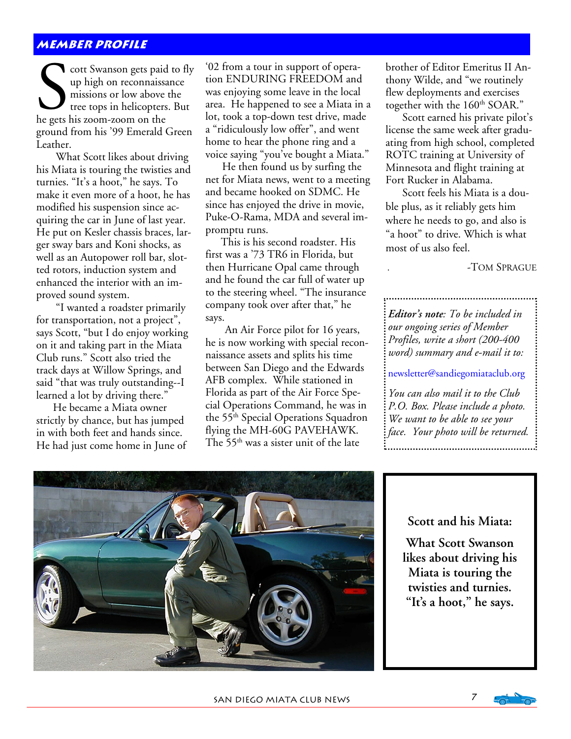#### **member profile**

cott Swanson gets paid to fly up high on reconnaissance missions or low above the tree tops in helicopters. But he gets his zoom-zoom on the ground from his '99 Emerald Green Leather.

 What Scott likes about driving his Miata is touring the twisties and turnies. "It's a hoot," he says. To make it even more of a hoot, he has modified his suspension since acquiring the car in June of last year. He put on Kesler chassis braces, larger sway bars and Koni shocks, as well as an Autopower roll bar, slotted rotors, induction system and enhanced the interior with an improved sound system.

 "I wanted a roadster primarily for transportation, not a project", says Scott, "but I do enjoy working on it and taking part in the Miata Club runs." Scott also tried the track days at Willow Springs, and said "that was truly outstanding--I learned a lot by driving there."

 He became a Miata owner strictly by chance, but has jumped in with both feet and hands since. He had just come home in June of '02 from a tour in support of operation ENDURING FREEDOM and was enjoying some leave in the local area. He happened to see a Miata in a lot, took a top-down test drive, made a "ridiculously low offer", and went home to hear the phone ring and a voice saying "you've bought a Miata."

 He then found us by surfing the net for Miata news, went to a meeting and became hooked on SDMC. He since has enjoyed the drive in movie, Puke-O-Rama, MDA and several impromptu runs.

 This is his second roadster. His first was a '73 TR6 in Florida, but then Hurricane Opal came through and he found the car full of water up to the steering wheel. "The insurance company took over after that," he says.

 An Air Force pilot for 16 years, he is now working with special reconnaissance assets and splits his time between San Diego and the Edwards AFB complex. While stationed in Florida as part of the Air Force Special Operations Command, he was in the 55<sup>th</sup> Special Operations Squadron flying the MH-60G PAVEHAWK. The 55<sup>th</sup> was a sister unit of the late

brother of Editor Emeritus II Anthony Wilde, and "we routinely flew deployments and exercises together with the 160<sup>th</sup> SOAR."

 Scott earned his private pilot's license the same week after graduating from high school, completed ROTC training at University of Minnesota and flight training at Fort Rucker in Alabama.

 Scott feels his Miata is a double plus, as it reliably gets him where he needs to go, and also is "a hoot" to drive. Which is what most of us also feel.

. -TOM SPRAGUE

*Editor's note: To be included in our ongoing series of Member Profiles, write a short (200-400 word) summary and e-mail it to:* 

newsletter@sandiegomiataclub.org

*You can also mail it to the Club P.O. Box. Please include a photo. We want to be able to see your face. Your photo will be returned.*



#### **Scott and his Miata:**

**What Scott Swanson likes about driving his Miata is touring the twisties and turnies. "It's a hoot," he says.** 

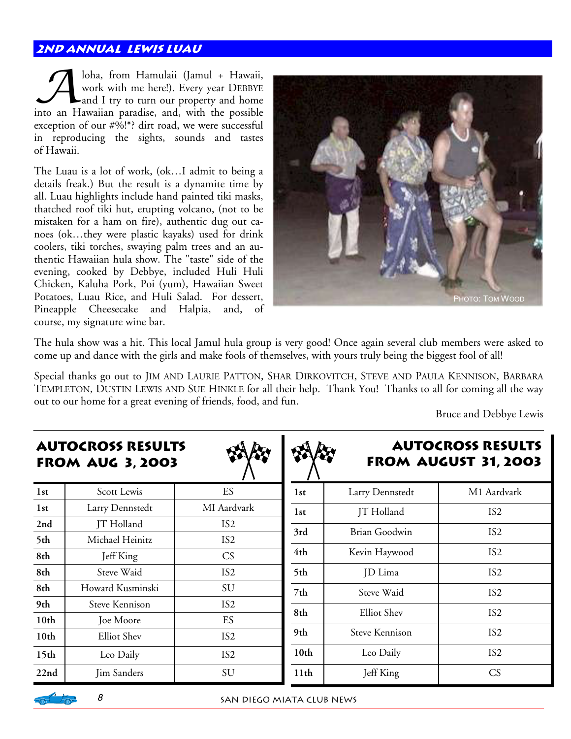#### **2nd Annual lewis luau**

Joha, from Hamulaii (Jamul + Hawaii,<br>
work with me here!). Every year DEBBYE<br>
and I try to turn our property and home work with me here!). Every year DEBBYE into an Hawaiian paradise, and, with the possible exception of our #%!\*? dirt road, we were successful in reproducing the sights, sounds and tastes of Hawaii.

The Luau is a lot of work, (ok…I admit to being a details freak.) But the result is a dynamite time by all. Luau highlights include hand painted tiki masks, thatched roof tiki hut, erupting volcano, (not to be mistaken for a ham on fire), authentic dug out canoes (ok…they were plastic kayaks) used for drink coolers, tiki torches, swaying palm trees and an authentic Hawaiian hula show. The "taste" side of the evening, cooked by Debbye, included Huli Huli Chicken, Kaluha Pork, Poi (yum), Hawaiian Sweet Potatoes, Luau Rice, and Huli Salad. For dessert, Pineapple Cheesecake and Halpia, and, of course, my signature wine bar.



The hula show was a hit. This local Jamul hula group is very good! Once again several club members were asked to come up and dance with the girls and make fools of themselves, with yours truly being the biggest fool of all!

Special thanks go out to JIM AND LAURIE PATTON, SHAR DIRKOVITCH, STEVE AND PAULA KENNISON, BARBARA TEMPLETON, DUSTIN LEWIS AND SUE HINKLE for all their help. Thank You! Thanks to all for coming all the way out to our home for a great evening of friends, food, and fun.

П

 $\overline{a}$ 

Bruce and Debbye Lewis

| <b>AUTOCROSS RESULTS</b><br><b>FROM AUG 3, 2003</b> |                       |                 |                  |                      | <b>AUTOCROSS RESULTS</b><br><b>FROM AUGUST 31, 2003</b> |  |
|-----------------------------------------------------|-----------------------|-----------------|------------------|----------------------|---------------------------------------------------------|--|
| 1st                                                 | Scott Lewis           | ES              | 1st              | Larry Dennstedt      | M1 Aardvark                                             |  |
| 1st                                                 | Larry Dennstedt       | MI Aardvark     | 1st              | JT Holland           | IS <sub>2</sub>                                         |  |
| 2nd                                                 | JT Holland            | IS <sub>2</sub> | 3rd              | <b>Brian Goodwin</b> | IS <sub>2</sub>                                         |  |
| 5th                                                 | Michael Heinitz       | IS <sub>2</sub> |                  |                      |                                                         |  |
| 8th                                                 | Jeff King             | CS              | 4th              | Kevin Haywood        | IS <sub>2</sub>                                         |  |
| 8th                                                 | Steve Waid            | IS <sub>2</sub> | 5th              | JD Lima              | IS <sub>2</sub>                                         |  |
| 8th                                                 | Howard Kusminski      | SU              | 7th              | Steve Waid           | IS <sub>2</sub>                                         |  |
| 9th                                                 | <b>Steve Kennison</b> | IS <sub>2</sub> |                  |                      |                                                         |  |
| 10 <sub>th</sub>                                    | Joe Moore             | ES              | 8th              | <b>Elliot</b> Shev   | IS <sub>2</sub>                                         |  |
| 10 <sub>th</sub>                                    | <b>Elliot</b> Shev    | IS <sub>2</sub> | 9th              | Steve Kennison       | IS <sub>2</sub>                                         |  |
| 15 <sub>th</sub>                                    | Leo Daily             | IS <sub>2</sub> | 10 <sub>th</sub> | Leo Daily            | IS <sub>2</sub>                                         |  |
| 22nd                                                | <b>Jim Sanders</b>    | SU              | 11 <sub>th</sub> | Jeff King            | CS                                                      |  |

## **AutoCross Results**

#### <u>-പിക്</u>

8 SAN DIEGO MIATA CLUB NEWS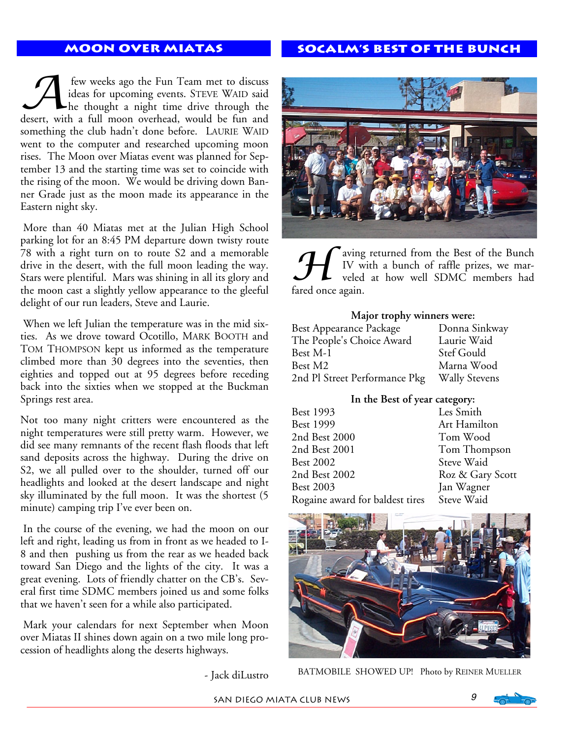#### **Moon over Miatas**

#### **Socalm's Best of the bunch**

few weeks ago the Fun Team met to discuss<br>ideas for upcoming events. STEVE WAID said<br>he thought a night time drive through the ideas for upcoming events. STEVE WAID said he thought a night time drive through the desert, with a full moon overhead, would be fun and something the club hadn't done before. LAURIE WAID went to the computer and researched upcoming moon rises. The Moon over Miatas event was planned for September 13 and the starting time was set to coincide with the rising of the moon. We would be driving down Banner Grade just as the moon made its appearance in the Eastern night sky.

 More than 40 Miatas met at the Julian High School parking lot for an 8:45 PM departure down twisty route 78 with a right turn on to route S2 and a memorable drive in the desert, with the full moon leading the way. Stars were plentiful. Mars was shining in all its glory and the moon cast a slightly yellow appearance to the gleeful delight of our run leaders, Steve and Laurie.

 When we left Julian the temperature was in the mid sixties. As we drove toward Ocotillo, MARK BOOTH and TOM THOMPSON kept us informed as the temperature climbed more than 30 degrees into the seventies, then eighties and topped out at 95 degrees before receding back into the sixties when we stopped at the Buckman Springs rest area.

Not too many night critters were encountered as the night temperatures were still pretty warm. However, we did see many remnants of the recent flash floods that left sand deposits across the highway. During the drive on S2, we all pulled over to the shoulder, turned off our headlights and looked at the desert landscape and night sky illuminated by the full moon. It was the shortest (5 minute) camping trip I've ever been on.

 In the course of the evening, we had the moon on our left and right, leading us from in front as we headed to I-8 and then pushing us from the rear as we headed back toward San Diego and the lights of the city. It was a great evening. Lots of friendly chatter on the CB's. Several first time SDMC members joined us and some folks that we haven't seen for a while also participated.

 Mark your calendars for next September when Moon over Miatas II shines down again on a two mile long procession of headlights along the deserts highways.

- Jack diLustro



The aving returned from the Best of the Bunch<br>IV with a bunch of raffle prizes, we mar-<br>veled at how well SDMC members had IV with a bunch of raffle prizes, we marveled at how well SDMC members had fared once again.

#### **Major trophy winners were:**

| <b>Best Appearance Package</b> | Donna Sinkway        |
|--------------------------------|----------------------|
| The People's Choice Award      | Laurie Waid          |
| Best M-1                       | Stef Gould           |
| Best M2                        | Marna Wood           |
| 2nd Pl Street Performance Pkg  | <b>Wally Stevens</b> |

#### **In the Best of year category:**

| Best 1993                       | Les Smith        |
|---------------------------------|------------------|
| <b>Best 1999</b>                | Art Hamilton     |
| 2nd Best 2000                   | Tom Wood         |
| 2nd Best 2001                   | Tom Thompson     |
| <b>Best 2002</b>                | Steve Waid       |
| 2nd Best 2002                   | Roz & Gary Scott |
| <b>Best 2003</b>                | Jan Wagner       |
| Rogaine award for baldest tires | Steve Waid       |
|                                 |                  |



BATMOBILE SHOWED UP! Photo by REINER MUELLER

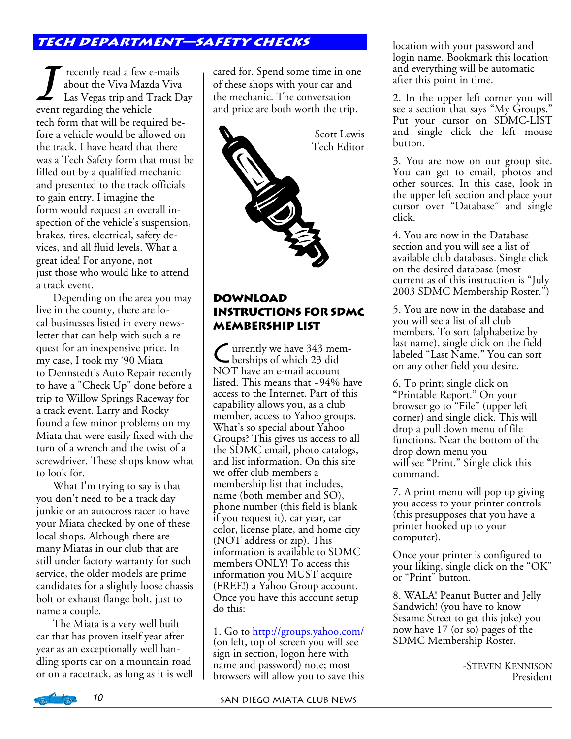#### **Tech department—safety checks**

T recently read a few e-mails<br>
las Vegas trip and Track Day<br>
event regarding the vehicle about the Viva Mazda Viva event regarding the vehicle tech form that will be required before a vehicle would be allowed on the track. I have heard that there was a Tech Safety form that must be filled out by a qualified mechanic and presented to the track officials to gain entry. I imagine the form would request an overall inspection of the vehicle's suspension, brakes, tires, electrical, safety devices, and all fluid levels. What a great idea! For anyone, not just those who would like to attend a track event.

 Depending on the area you may live in the county, there are local businesses listed in every newsletter that can help with such a request for an inexpensive price. In my case, I took my '90 Miata to Dennstedt's Auto Repair recently to have a "Check Up" done before a trip to Willow Springs Raceway for a track event. Larry and Rocky found a few minor problems on my Miata that were easily fixed with the turn of a wrench and the twist of a screwdriver. These shops know what to look for.

 What I'm trying to say is that you don't need to be a track day junkie or an autocross racer to have your Miata checked by one of these local shops. Although there are many Miatas in our club that are still under factory warranty for such service, the older models are prime candidates for a slightly loose chassis bolt or exhaust flange bolt, just to name a couple.

 The Miata is a very well built car that has proven itself year after year as an exceptionally well handling sports car on a mountain road or on a racetrack, as long as it is well cared for. Spend some time in one of these shops with your car and the mechanic. The conversation and price are both worth the trip.



#### **Download Instructions for SDMC Membership List**

C urrently we have 343 mem-berships of which 23 did NOT have an e-mail account listed. This means that ~94% have access to the Internet. Part of this capability allows you, as a club member, access to Yahoo groups. What's so special about Yahoo Groups? This gives us access to all the SDMC email, photo catalogs, and list information. On this site we offer club members a membership list that includes, name (both member and SO), phone number (this field is blank if you request it), car year, car color, license plate, and home city (NOT address or zip). This information is available to SDMC members ONLY! To access this information you MUST acquire (FREE!) a Yahoo Group account. Once you have this account setup do this:

1. Go to http://groups.yahoo.com/ (on left, top of screen you will see sign in section, logon here with name and password) note; most browsers will allow you to save this

location with your password and login name. Bookmark this location and everything will be automatic after this point in time.

2. In the upper left corner you will see a section that says "My Groups." Put your cursor on SDMC-LIST and single click the left mouse button.

3. You are now on our group site. You can get to email, photos and other sources. In this case, look in the upper left section and place your cursor over "Database" and single click.

4. You are now in the Database section and you will see a list of available club databases. Single click on the desired database (most current as of this instruction is "July 2003 SDMC Membership Roster.")

5. You are now in the database and you will see a list of all club members. To sort (alphabetize by last name), single click on the field labeled "Last Name." You can sort on any other field you desire.

6. To print; single click on "Printable Report." On your browser go to "File" (upper left corner) and single click. This will drop a pull down menu of file functions. Near the bottom of the drop down menu you will see "Print." Single click this command.

7. A print menu will pop up giving you access to your printer controls (this presupposes that you have a printer hooked up to your computer).

Once your printer is configured to your liking, single click on the "OK" or "Print" button.

8. WALA! Peanut Butter and Jelly Sandwich! (you have to know Sesame Street to get this joke) you now have 17 (or so) pages of the SDMC Membership Roster.

> -STEVEN KENNISON President

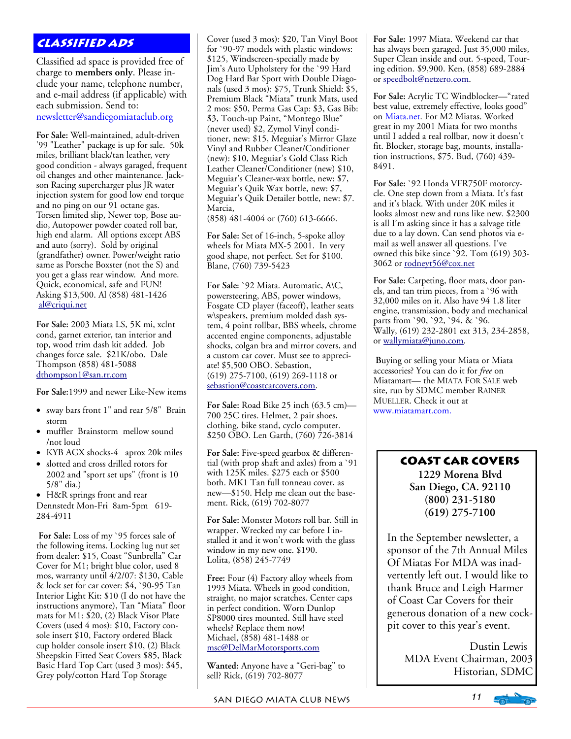#### **Classified Ads**

Classified ad space is provided free of charge to **members only**. Please include your name, telephone number, and e-mail address (if applicable) with each submission. Send to: newsletter@sandiegomiataclub.org

**For Sale:** Well-maintained, adult-driven '99 "Leather" package is up for sale. 50k miles, brilliant black/tan leather, very good condition - always garaged, frequent oil changes and other maintenance. Jackson Racing supercharger plus JR water injection system for good low end torque and no ping on our 91 octane gas. Torsen limited slip, Newer top, Bose audio, Autopower powder coated roll bar, high end alarm. All options except ABS and auto (sorry). Sold by original (grandfather) owner. Power/weight ratio same as Porsche Boxster (not the S) and you get a glass rear window. And more. Quick, economical, safe and FUN! Asking \$13,500. Al (858) 481-1426 al@criqui.net

**For Sale:** 2003 Miata LS, 5K mi, xclnt cond, garnet exterior, tan interior and top, wood trim dash kit added. Job changes force sale. \$21K/obo. Dale Thompson (858) 481-5088 dthompson1@san.rr.com

**For Sale:**1999 and newer Like-New items

- sway bars front 1" and rear 5/8" Brain storm
- muffler Brainstorm mellow sound /not loud
- KYB AGX shocks-4 aprox 20k miles
- slotted and cross drilled rotors for 2002 and "sport set ups" (front is 10 5/8" dia.)
- H&R springs front and rear

Dennstedt Mon-Fri 8am-5pm 619- 284-4911

**For Sale:** Loss of my `95 forces sale of the following items. Locking lug nut set from dealer: \$15, Coast "Sunbrella" Car Cover for M1; bright blue color, used 8 mos, warranty until 4/2/07: \$130, Cable & lock set for car cover: \$4, `90-95 Tan Interior Light Kit: \$10 (I do not have the instructions anymore), Tan "Miata" floor mats for M1: \$20, (2) Black Visor Plate Covers (used 4 mos): \$10, Factory console insert \$10, Factory ordered Black cup holder console insert \$10, (2) Black Sheepskin Fitted Seat Covers \$85, Black Basic Hard Top Cart (used 3 mos): \$45, Grey poly/cotton Hard Top Storage

Cover (used 3 mos): \$20, Tan Vinyl Boot for `90-97 models with plastic windows: \$125, Windscreen-specially made by Jim's Auto Upholstery for the `99 Hard Dog Hard Bar Sport with Double Diagonals (used 3 mos): \$75, Trunk Shield: \$5, Premium Black "Miata" trunk Mats, used 2 mos: \$50, Perma Gas Cap: \$3, Gas Bib: \$3, Touch-up Paint, "Montego Blue" (never used) \$2, Zymol Vinyl conditioner, new: \$15, Meguiar's Mirror Glaze Vinyl and Rubber Cleaner/Conditioner (new): \$10, Meguiar's Gold Class Rich Leather Cleaner/Conditioner (new) \$10, Meguiar's Cleaner-wax bottle, new: \$7, Meguiar's Quik Wax bottle, new: \$7, Meguiar's Quik Detailer bottle, new: \$7. Marcia,

(858) 481-4004 or (760) 613-6666.

**For Sale:** Set of 16-inch, 5-spoke alloy wheels for Miata MX-5 2001. In very good shape, not perfect. Set for \$100. Blane, (760) 739-5423

F**or Sale:** `92 Miata. Automatic, A\C, powersteering, ABS, power windows, Fosgate CD player (faceoff), leather seats w\speakers, premium molded dash system, 4 point rollbar, BBS wheels, chrome accented engine components, adjustable shocks, colgan bra and mirror covers, and a custom car cover. Must see to appreciate! \$5,500 OBO. Sebastion, (619) 275-7100, (619) 269-1118 or sebastion@coastcarcovers.com.

**For Sale:** Road Bike 25 inch (63.5 cm)— 700 25C tires. Helmet, 2 pair shoes, clothing, bike stand, cyclo computer. \$250 OBO. Len Garth, (760) 726-3814

**For Sale:** Five-speed gearbox & differential (with prop shaft and axles) from a `91 with 125K miles. \$275 each or \$500 both. MK1 Tan full tonneau cover, as new—\$150. Help me clean out the basement. Rick, (619) 702-8077

**For Sale:** Monster Motors roll bar. Still in wrapper. Wrecked my car before I installed it and it won't work with the glass window in my new one. \$190. Lolita, (858) 245-7749

**Free:** Four (4) Factory alloy wheels from 1993 Miata. Wheels in good condition, straight, no major scratches. Center caps in perfect condition. Worn Dunlop SP8000 tires mounted. Still have steel wheels? Replace them now! Michael, (858) 481-1488 or msc@DelMarMotorsports.com

**Wanted:** Anyone have a "Geri-bag" to sell? Rick, (619) 702-8077

**For Sale:** 1997 Miata. Weekend car that has always been garaged. Just 35,000 miles, Super Clean inside and out. 5-speed, Touring edition. \$9,900. Ken, (858) 689-2884 or speedbolt@netzero.com.

**For Sale:** Acrylic TC Windblocker—"rated best value, extremely effective, looks good" on Miata.net. For M2 Miatas. Worked great in my 2001 Miata for two months until I added a real rollbar, now it doesn't fit. Blocker, storage bag, mounts, installation instructions, \$75. Bud, (760) 439- 8491.

**For Sale:** `92 Honda VFR750F motorcycle. One step down from a Miata. It's fast and it's black. With under 20K miles it looks almost new and runs like new. \$2300 is all I'm asking since it has a salvage title due to a lay down. Can send photos via email as well answer all questions. I've owned this bike since `92. Tom (619) 303- 3062 or rodneyt56@cox.net

**For Sale:** Carpeting, floor mats, door panels, and tan trim pieces, from a `96 with 32,000 miles on it. Also have 94 1.8 liter engine, transmission, body and mechanical parts from `90, `92, `94, & `96. Wally, (619) 232-2801 ext 313, 234-2858, or wallymiata@juno.com.

**B**uying or selling your Miata or Miata accessories? You can do it for *free* on Miatamart— the MIATA FOR SALE web site, run by SDMC member RAINER MUELLER. Check it out at www.miatamart.com.

#### **Coast Car covers**

**1229 Morena Blvd San Diego, CA. 92110 (800) 231-5180 (619) 275-7100** 

In the September newsletter, a sponsor of the 7th Annual Miles Of Miatas For MDA was inadvertently left out. I would like to thank Bruce and Leigh Harmer of Coast Car Covers for their generous donation of a new cockpit cover to this year's event.

> Dustin Lewis MDA Event Chairman, 2003 Historian, SDMC